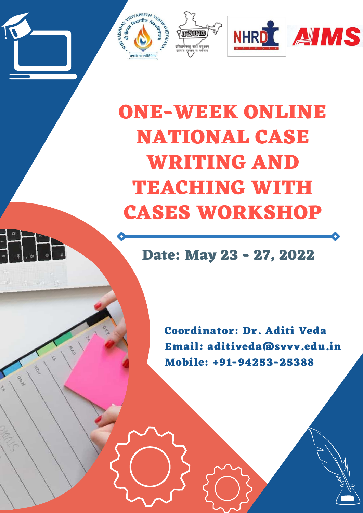

# **ONE-WEEK ONLINE NATIONAL CASE WRITING AND TEACHING WITH CASES WORKSHOP**

**Date: May 23 - 27, 2022**



AP<sub>D</sub>

 $0_{4}$ 

**Coordinator: Dr. Aditi Veda Email: aditiveda@svvv.edu.in Mobile: +91-94253-25388**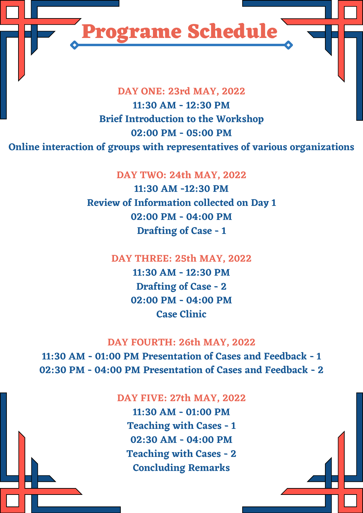

**Brief Introduction to the Workshop**

### **02:00 PM - 05:00 PM**

## **Online interaction of groups with representatives of various organizations**

**DAY TWO: 24th MAY, 2022 11:30 AM -12:30 PM Review of Information collected on Day 1 02:00 PM - 04:00 PM Drafting of Case - 1**

> **DAY THREE: 25th MAY, 2022 11:30 AM - 12:30 PM**

**Drafting of Case - 2 02:00 PM - 04:00 PM Case Clinic**

**DAY FOURTH: 26th MAY, 2022 11:30 AM - 01:00 PM Presentation of Cases and Feedback - 1 02:30 PM - 04:00 PM Presentation of Cases and Feedback - 2**

> **DAY FIVE: 27th MAY, 2022 11:30 AM - 01:00 PM Teaching with Cases - 1 02:30 AM - 04:00 PM Teaching with Cases - 2 Concluding Remarks**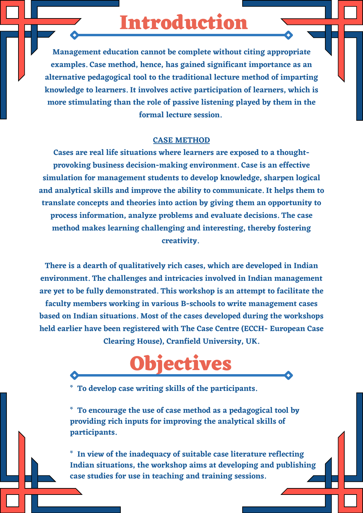## **Introduction**

**Management education cannot be complete without citing appropriate examples. Case method, hence, has gained significant importance as an alternative pedagogical tool to the traditional lecture method of imparting knowledge to learners. It involves active participation of learners, which is more stimulating than the role of passive listening played by them in the formal lecture session.**

#### **CASE METHOD**

**Cases are real life situations where learners are exposed to a thoughtprovoking business decision-making environment. Case is an effective simulation for management students to develop knowledge, sharpen logical and analytical skills and improve the ability to communicate. It helps them to translate concepts and theories into action by giving them an opportunity to process information, analyze problems and evaluate decisions. The case method makes learning challenging and interesting, thereby fostering creativity.**

**There is a dearth of qualitatively rich cases, which are developed in Indian**

**environment. The challenges and intricacies involved in Indian management are yet to be fully demonstrated. This workshop is an attempt to facilitate the**

**faculty members working in various B-schools to write management cases based on Indian situations. Most of the cases developed during the workshops held earlier have been registered with The Case Centre (ECCH- European Case Clearing House), Cranfield University, UK.**



**\* To develop case writing skills of the participants.**

**\* To encourage the use of case method as a pedagogical tool by providing rich inputs for improving the analytical skills of participants.**

**\* In view of the inadequacy of suitable case literature reflecting Indian situations, the workshop aims at developing and publishing case studies for use in teaching and training sessions.**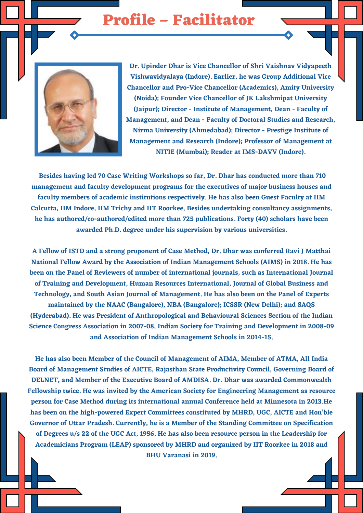## **Profile – Facilitator**



**Dr. Upinder Dhar is Vice Chancellor of Shri Vaishnav Vidyapeeth Vishwavidyalaya (Indore). Earlier, he was Group Additional Vice Chancellor and Pro-Vice Chancellor (Academics), Amity University (Noida); Founder Vice Chancellor of JK Lakshmipat University (Jaipur); Director - Institute of Management, Dean - Faculty of Management, and Dean - Faculty of Doctoral Studies and Research, Nirma University (Ahmedabad); Director - Prestige Institute of Management and Research (Indore); Professor of Management at NITIE (Mumbai); Reader at IMS-DAVV (Indore).**

**Besides having led 70 Case Writing Workshops so far, Dr. Dhar has conducted more than 710 management and faculty development programs for the executives of major business houses and faculty members of academic institutions respectively. He has also been Guest Faculty at IIM Calcutta, IIM Indore, IIM Trichy and IIT Roorkee. Besides undertaking consultancy assignments, he has authored/co-authored/edited more than 725 publications. Forty (40) scholars have been awarded Ph.D. degree under his supervision by various universities.**

**A Fellow of ISTD and a strong proponent of Case Method, Dr. Dhar was conferred Ravi J Matthai National Fellow Award by the Association of Indian Management Schools (AIMS) in 2018. He has been on the Panel of Reviewers of number of international journals, such as International Journal of Training and Development, Human Resources International, Journal of Global Business and Technology, and South Asian Journal of Management. He has also been on the Panel of Experts maintained by the NAAC (Bangalore), NBA (Bangalore); ICSSR (New Delhi); and SAQS (Hyderabad). He was President of Anthropological and Behavioural Sciences Section of the Indian Science Congress Association in 2007-08, Indian Society for Training and Development in 2008-09 and Association of Indian Management Schools in 2014-15.**

**He has also been Member of the Council of Management of AIMA, Member of ATMA, All India Board of Management Studies of AICTE, Rajasthan State Productivity Council, Governing Board of DELNET, and Member of the Executive Board of AMDISA. Dr. Dhar was awarded Commonwealth Fellowship twice. He was invited by the American Society for Engineering Management as resource person for Case Method during its international annual Conference held at Minnesota in 2013.He has been on the high-powered Expert Committees constituted by MHRD, UGC, AICTE and Hon'ble Governor of Uttar Pradesh. Currently, he is a Member of the Standing Committee on Specification** of Degrees u/s 22 of the UGC Act, 1956. He has also been resource person in the Leadership for **Academicians Program (LEAP) sponsored by MHRD and organized by IIT Roorkee in 2018 and BHU Varanasi in 2019.**